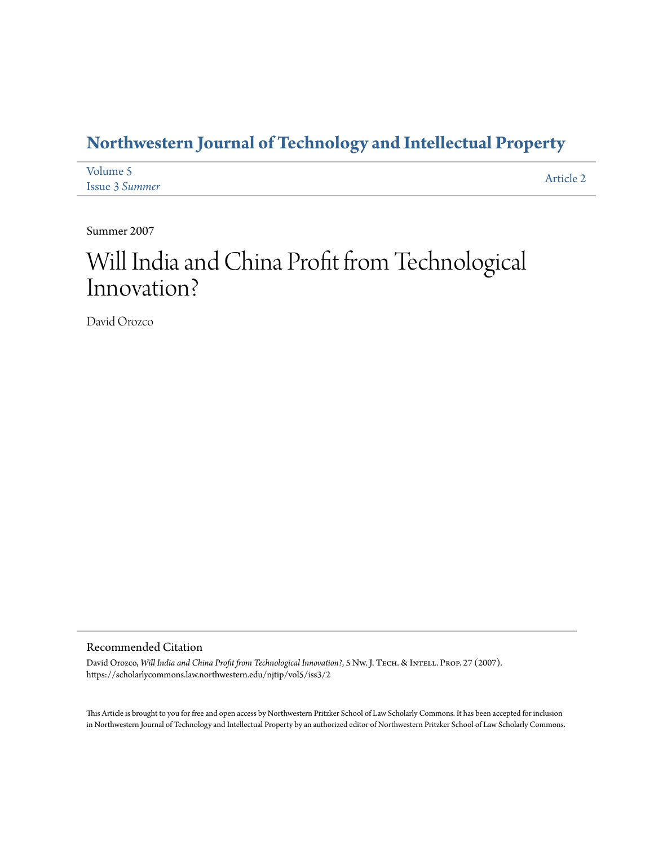## **[Northwestern Journal of Technology and Intellectual Property](https://scholarlycommons.law.northwestern.edu/njtip)**

| Volume 5       | Article 2 |
|----------------|-----------|
| Issue 3 Summer |           |

Summer 2007

# Will India and China Profit from Technological Innovation?

David Orozco

#### Recommended Citation

David Orozco, *Will India and China Profit from Technological Innovation*?, 5 Nw. J. TECH. & INTELL. PROP. 27 (2007). https://scholarlycommons.law.northwestern.edu/njtip/vol5/iss3/2

This Article is brought to you for free and open access by Northwestern Pritzker School of Law Scholarly Commons. It has been accepted for inclusion in Northwestern Journal of Technology and Intellectual Property by an authorized editor of Northwestern Pritzker School of Law Scholarly Commons.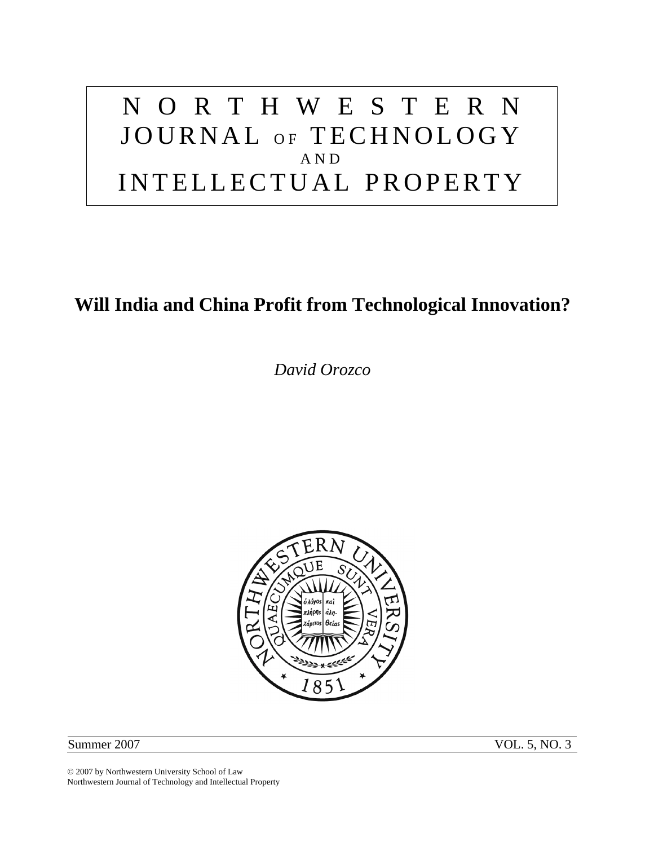# NORTHWESTERN JOURNAL OF TECHNOLOGY AND INTELLECTUAL PROPERTY

### **Will India and China Profit from Technological Innovation?**

*David Orozco* 



Summer 2007 VOL. 5, NO. 3

© 2007 by Northwestern University School of Law Northwestern Journal of Technology and Intellectual Property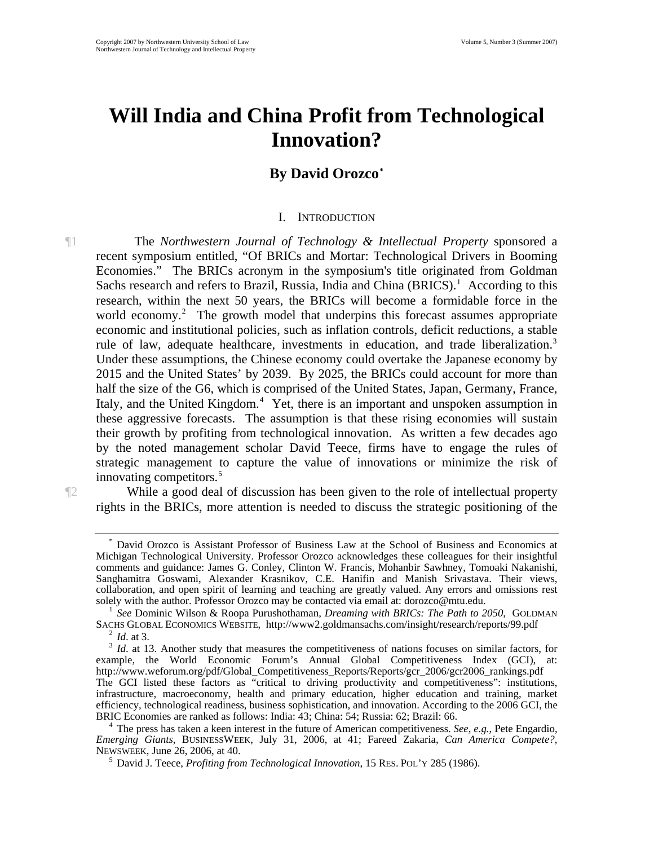# **Will India and China Profit from Technological Innovation?**

### **By David Orozco[\\*](#page-2-0)**

#### I. INTRODUCTION

¶1 The *Northwestern Journal of Technology & Intellectual Property* sponsored a recent symposium entitled, "Of BRICs and Mortar: Technological Drivers in Booming Economies." The BRICs acronym in the symposium's title originated from Goldman Sachs research and refers to Brazil, Russia, India and China (BRICS).<sup>[1](#page-2-1)</sup> According to this research, within the next 50 years, the BRICs will become a formidable force in the world economy.<sup>[2](#page-2-2)</sup> The growth model that underpins this forecast assumes appropriate economic and institutional policies, such as inflation controls, deficit reductions, a stable rule of law, adequate healthcare, investments in education, and trade liberalization.<sup>[3](#page-2-3)</sup> Under these assumptions, the Chinese economy could overtake the Japanese economy by 2015 and the United States' by 2039. By 2025, the BRICs could account for more than half the size of the G6, which is comprised of the United States, Japan, Germany, France, Italy, and the United Kingdom.<sup>[4](#page-2-4)</sup> Yet, there is an important and unspoken assumption in these aggressive forecasts. The assumption is that these rising economies will sustain their growth by profiting from technological innovation. As written a few decades ago by the noted management scholar David Teece, firms have to engage the rules of strategic management to capture the value of innovations or minimize the risk of innovating competitors[.5](#page-2-5)

<span id="page-2-0"></span>

¶2 While a good deal of discussion has been given to the role of intellectual property rights in the BRICs, more attention is needed to discuss the strategic positioning of the

<sup>\*</sup> David Orozco is Assistant Professor of Business Law at the School of Business and Economics at Michigan Technological University. Professor Orozco acknowledges these colleagues for their insightful comments and guidance: James G. Conley, Clinton W. Francis, Mohanbir Sawhney, Tomoaki Nakanishi, Sanghamitra Goswami, Alexander Krasnikov, C.E. Hanifin and Manish Srivastava. Their views, collaboration, and open spirit of learning and teaching are greatly valued. Any errors and omissions rest solely with the author. Professor Orozco may be contacted via email at: dorozco@mtu.edu.

<span id="page-2-1"></span><sup>&</sup>lt;sup>1</sup> See Dominic Wilson & Roopa Purushothaman, *Dreaming with BRICs: The Path to 2050*, GOLDMAN SACHS GLOBAL ECONOMICS WEBSITE, http://www2.goldmansachs.com/insight/research/reports/99.pdf  $\frac{3}{10}$  *Id.* at 3. Another study that measures the competitiveness of nations focuses on similar factors, for  $\frac{3}{100}$ 

<span id="page-2-3"></span><span id="page-2-2"></span>example, the World Economic Forum's Annual Global Competitiveness Index (GCI), at: http://www.weforum.org/pdf/Global\_Competitiveness\_Reports/Reports/gcr\_2006/gcr2006\_rankings.pdf

The GCI listed these factors as "critical to driving productivity and competitiveness": institutions, infrastructure, macroeconomy, health and primary education, higher education and training, market efficiency, technological readiness, business sophistication, and innovation. According to the 2006 GCI, the BRIC Economies are ranked as follows: India: 43; China: 54; Russia: 62; Brazil: 66. 4

<span id="page-2-5"></span><span id="page-2-4"></span>The press has taken a keen interest in the future of American competitiveness. *See, e.g.*, Pete Engardio, *Emerging Giants*, BUSINESSWEEK, July 31, 2006, at 41; Fareed Zakaria, *Can America Compete?*, NEWSWEEK, June 26, 2006, at 40. 5

David J. Teece, *Profiting from Technological Innovation*, 15 RES. POL'Y 285 (1986).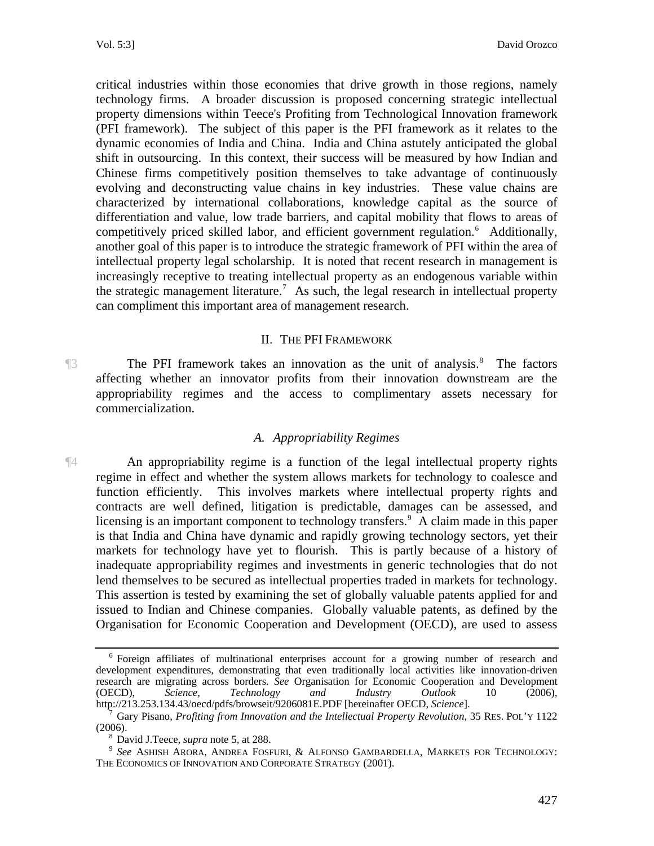critical industries within those economies that drive growth in those regions, namely technology firms. A broader discussion is proposed concerning strategic intellectual property dimensions within Teece's Profiting from Technological Innovation framework (PFI framework). The subject of this paper is the PFI framework as it relates to the dynamic economies of India and China. India and China astutely anticipated the global shift in outsourcing. In this context, their success will be measured by how Indian and Chinese firms competitively position themselves to take advantage of continuously evolving and deconstructing value chains in key industries. These value chains are characterized by international collaborations, knowledge capital as the source of differentiation and value, low trade barriers, and capital mobility that flows to areas of competitively priced skilled labor, and efficient government regulation.<sup>[6](#page-3-0)</sup> Additionally, another goal of this paper is to introduce the strategic framework of PFI within the area of intellectual property legal scholarship. It is noted that recent research in management is increasingly receptive to treating intellectual property as an endogenous variable within the strategic management literature.<sup>[7](#page-3-1)</sup> As such, the legal research in intellectual property can compliment this important area of management research.

#### II. THE PFI FRAMEWORK

The PFI framework takes an innovation as the unit of analysis.<sup>[8](#page-3-2)</sup> The factors affecting whether an innovator profits from their innovation downstream are the appropriability regimes and the access to complimentary assets necessary for commercialization.

#### *A. Appropriability Regimes*

¶4 An appropriability regime is a function of the legal intellectual property rights regime in effect and whether the system allows markets for technology to coalesce and function efficiently. This involves markets where intellectual property rights and contracts are well defined, litigation is predictable, damages can be assessed, and licensing is an important component to technology transfers.<sup>[9](#page-3-3)</sup> A claim made in this paper is that India and China have dynamic and rapidly growing technology sectors, yet their markets for technology have yet to flourish. This is partly because of a history of inadequate appropriability regimes and investments in generic technologies that do not lend themselves to be secured as intellectual properties traded in markets for technology. This assertion is tested by examining the set of globally valuable patents applied for and issued to Indian and Chinese companies. Globally valuable patents, as defined by the Organisation for Economic Cooperation and Development (OECD), are used to assess

<span id="page-3-0"></span><sup>&</sup>lt;sup>6</sup> Foreign affiliates of multinational enterprises account for a growing number of research and development expenditures, demonstrating that even traditionally local activities like innovation-driven research are migrating across borders. *See* Organisation for Economic Cooperation and Development (OECD), *Science*, *Technology* and *Industry Outlook* 10 (2006), (OECD), *Science, Technology and Industry Outlook* 10 (2006), http://213.253.134.43/oecd/pdfs/browseit/9206081E.PDF [hereinafter OECD, *Science*]. 7

<span id="page-3-1"></span>Gary Pisano, *Profiting from Innovation and the Intellectual Property Revolution*, 35 RES. POL'Y 1122  $(2006)$ .<br><sup>8</sup> David J. Teece, *supra* note 5, at 288.

<span id="page-3-3"></span><span id="page-3-2"></span>David J.Teece, *supra* note 5, at 288. 9 *See* ASHISH ARORA, ANDREA FOSFURI, & ALFONSO GAMBARDELLA, MARKETS FOR TECHNOLOGY: THE ECONOMICS OF INNOVATION AND CORPORATE STRATEGY (2001).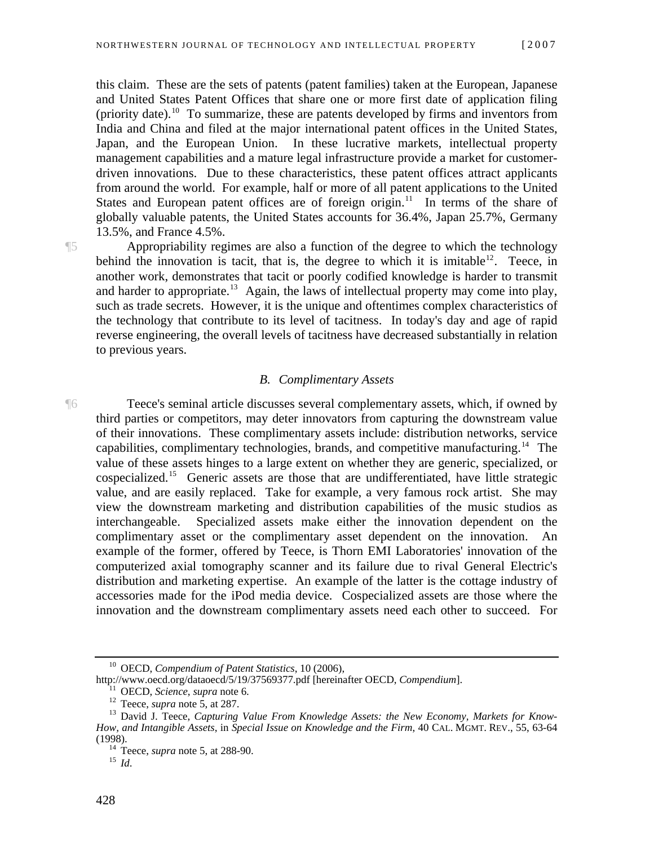this claim. These are the sets of patents (patent families) taken at the European, Japanese and United States Patent Offices that share one or more first date of application filing (priority date).<sup>[10](#page-4-0)</sup> To summarize, these are patents developed by firms and inventors from India and China and filed at the major international patent offices in the United States, Japan, and the European Union. In these lucrative markets, intellectual property management capabilities and a mature legal infrastructure provide a market for customerdriven innovations. Due to these characteristics, these patent offices attract applicants from around the world. For example, half or more of all patent applications to the United States and European patent offices are of foreign origin.<sup>[11](#page-4-1)</sup> In terms of the share of globally valuable patents, the United States accounts for 36.4%, Japan 25.7%, Germany 13.5%, and France 4.5%.

¶5 Appropriability regimes are also a function of the degree to which the technology behind the innovation is tacit, that is, the degree to which it is imitable<sup>[12](#page-4-2)</sup>. Teece, in another work, demonstrates that tacit or poorly codified knowledge is harder to transmit and harder to appropriate.<sup>[13](#page-4-3)</sup> Again, the laws of intellectual property may come into play, such as trade secrets. However, it is the unique and oftentimes complex characteristics of the technology that contribute to its level of tacitness. In today's day and age of rapid reverse engineering, the overall levels of tacitness have decreased substantially in relation to previous years.

#### *B. Complimentary Assets*

¶6 Teece's seminal article discusses several complementary assets, which, if owned by third parties or competitors, may deter innovators from capturing the downstream value of their innovations. These complimentary assets include: distribution networks, service capabilities, complimentary technologies, brands, and competitive manufacturing.<sup>[14](#page-4-4)</sup> The value of these assets hinges to a large extent on whether they are generic, specialized, or cospecialized.[15](#page-4-5) Generic assets are those that are undifferentiated, have little strategic value, and are easily replaced. Take for example, a very famous rock artist. She may view the downstream marketing and distribution capabilities of the music studios as interchangeable. Specialized assets make either the innovation dependent on the complimentary asset or the complimentary asset dependent on the innovation. An example of the former, offered by Teece, is Thorn EMI Laboratories' innovation of the computerized axial tomography scanner and its failure due to rival General Electric's distribution and marketing expertise. An example of the latter is the cottage industry of accessories made for the iPod media device. Cospecialized assets are those where the innovation and the downstream complimentary assets need each other to succeed. For

<span id="page-4-0"></span><sup>&</sup>lt;sup>10</sup> OECD, *Compendium of Patent Statistics*, 10 (2006),<br>http://www.oecd.org/dataoecd/5/19/37569377.pdf [hereinafter OECD, *Compendium*].

<span id="page-4-3"></span><span id="page-4-2"></span><span id="page-4-1"></span><sup>&</sup>lt;sup>11</sup> OECD, *Science*, *supra* note 6.<br><sup>12</sup> Teece, *supra* note 5, at 287.<br><sup>13</sup> David J. Teece, *Capturing Value From Knowledge Assets: the New Economy, Markets for Know-How, and Intangible Assets*, in *Special Issue on Knowledge and the Firm*, 40 CAL. MGMT. REV., 55, 63-64 (1998). 14 Teece, *supra* note 5, at 288-90. 15 *Id*.

<span id="page-4-5"></span><span id="page-4-4"></span>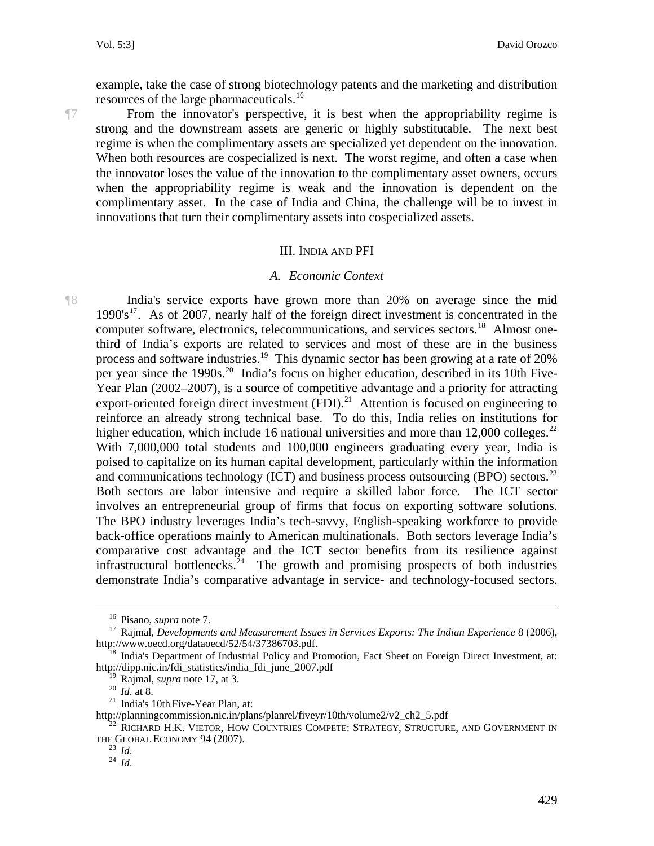example, take the case of strong biotechnology patents and the marketing and distribution resources of the large pharmaceuticals.<sup>[16](#page-5-0)</sup>

¶7 From the innovator's perspective, it is best when the appropriability regime is strong and the downstream assets are generic or highly substitutable. The next best regime is when the complimentary assets are specialized yet dependent on the innovation. When both resources are cospecialized is next. The worst regime, and often a case when the innovator loses the value of the innovation to the complimentary asset owners, occurs when the appropriability regime is weak and the innovation is dependent on the complimentary asset. In the case of India and China, the challenge will be to invest in innovations that turn their complimentary assets into cospecialized assets.

#### III. INDIA AND PFI

#### *A. Economic Context*

¶8 India's service exports have grown more than 20% on average since the mid  $1990's<sup>17</sup>$  $1990's<sup>17</sup>$  $1990's<sup>17</sup>$ . As of 2007, nearly half of the foreign direct investment is concentrated in the computer software, electronics, telecommunications, and services sectors.<sup>[18](#page-5-2)</sup> Almost onethird of India's exports are related to services and most of these are in the business process and software industries.[19](#page-5-3) This dynamic sector has been growing at a rate of 20% per year since the 1990s.<sup>[20](#page-5-4)</sup> India's focus on higher education, described in its 10th Five-Year Plan (2002–2007), is a source of competitive advantage and a priority for attracting export-oriented foreign direct investment  $(FDI)$ <sup>[21](#page-5-5)</sup> Attention is focused on engineering to reinforce an already strong technical base. To do this, India relies on institutions for higher education, which include 16 national universities and more than  $12,000$  colleges.<sup>22</sup> With 7,000,000 total students and 100,000 engineers graduating every year, India is poised to capitalize on its human capital development, particularly within the information and communications technology (ICT) and business process outsourcing (BPO) sectors.<sup>23</sup> Both sectors are labor intensive and require a skilled labor force. The ICT sector involves an entrepreneurial group of firms that focus on exporting software solutions. The BPO industry leverages India's tech-savvy, English-speaking workforce to provide back-office operations mainly to American multinationals. Both sectors leverage India's comparative cost advantage and the ICT sector benefits from its resilience against infrastructural bottlenecks.<sup>[24](#page-5-8)</sup> The growth and promising prospects of both industries demonstrate India's comparative advantage in service- and technology-focused sectors.

<span id="page-5-1"></span><span id="page-5-0"></span><sup>&</sup>lt;sup>16</sup> Pisano, *supra* note 7.<br><sup>17</sup> Rajmal, *Developments and Measurement Issues in Services Exports: The Indian Experience* 8 (2006),<br>http://www.oecd.org/dataoecd/52/54/37386703.pdf.

<span id="page-5-2"></span>India's Department of Industrial Policy and Promotion, Fact Sheet on Foreign Direct Investment, at: http://dipp.nic.in/fdi\_statistics/india\_fdi\_june\_2007.pdf<br><sup>19</sup> Rajmal, *supra* note 17, at 3.

<span id="page-5-5"></span><span id="page-5-4"></span><span id="page-5-3"></span><sup>&</sup>lt;sup>20</sup> *Id.* at 8.<br><sup>21</sup> India's 10th Five-Year Plan, at:<br>http://planningcommission.nic.in/plans/planrel/fiveyr/10th/volume2/v2\_ch2\_5.pdf

<span id="page-5-8"></span><span id="page-5-7"></span><span id="page-5-6"></span><sup>&</sup>lt;sup>22</sup> RICHARD H.K. VIETOR, HOW COUNTRIES COMPETE: STRATEGY, STRUCTURE, AND GOVERNMENT IN THE GLOBAL ECONOMY 94 (2007). 23 *Id*. 24 *Id*.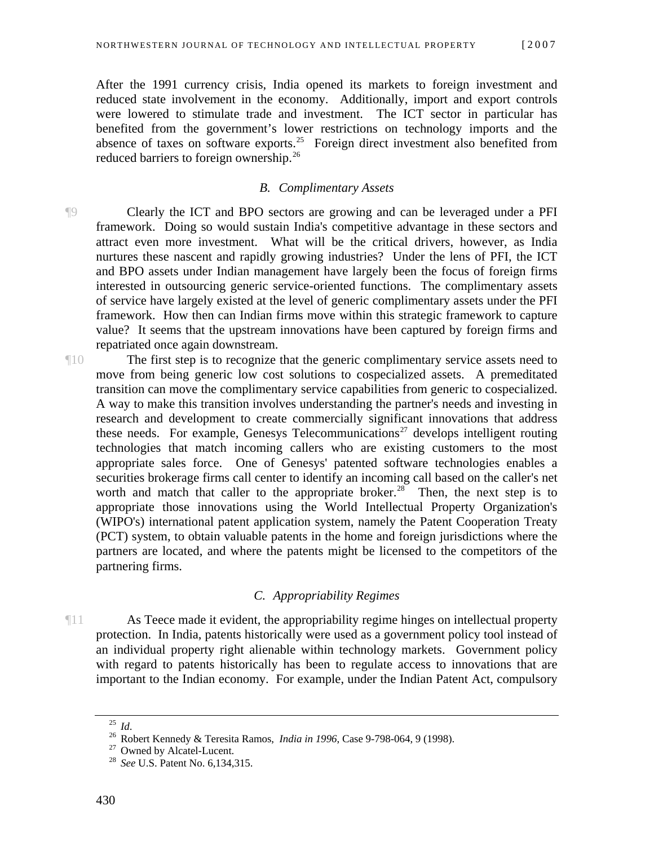After the 1991 currency crisis, India opened its markets to foreign investment and reduced state involvement in the economy. Additionally, import and export controls were lowered to stimulate trade and investment. The ICT sector in particular has benefited from the government's lower restrictions on technology imports and the absence of taxes on software exports.<sup>[25](#page-6-0)</sup> Foreign direct investment also benefited from reduced barriers to foreign ownership.<sup>[26](#page-6-1)</sup>

#### *B. Complimentary Assets*

¶9 Clearly the ICT and BPO sectors are growing and can be leveraged under a PFI framework. Doing so would sustain India's competitive advantage in these sectors and attract even more investment. What will be the critical drivers, however, as India nurtures these nascent and rapidly growing industries? Under the lens of PFI, the ICT and BPO assets under Indian management have largely been the focus of foreign firms interested in outsourcing generic service-oriented functions. The complimentary assets of service have largely existed at the level of generic complimentary assets under the PFI framework. How then can Indian firms move within this strategic framework to capture value? It seems that the upstream innovations have been captured by foreign firms and repatriated once again downstream.

¶10 The first step is to recognize that the generic complimentary service assets need to move from being generic low cost solutions to cospecialized assets. A premeditated transition can move the complimentary service capabilities from generic to cospecialized. A way to make this transition involves understanding the partner's needs and investing in research and development to create commercially significant innovations that address these needs. For example, Genesys Telecommunications<sup>[27](#page-6-2)</sup> develops intelligent routing technologies that match incoming callers who are existing customers to the most appropriate sales force. One of Genesys' patented software technologies enables a securities brokerage firms call center to identify an incoming call based on the caller's net worth and match that caller to the appropriate broker.<sup>[28](#page-6-3)</sup> Then, the next step is to appropriate those innovations using the World Intellectual Property Organization's (WIPO's) international patent application system, namely the Patent Cooperation Treaty (PCT) system, to obtain valuable patents in the home and foreign jurisdictions where the partners are located, and where the patents might be licensed to the competitors of the partnering firms.

#### *C. Appropriability Regimes*

¶11 As Teece made it evident, the appropriability regime hinges on intellectual property protection. In India, patents historically were used as a government policy tool instead of an individual property right alienable within technology markets. Government policy with regard to patents historically has been to regulate access to innovations that are important to the Indian economy. For example, under the Indian Patent Act, compulsory

<span id="page-6-0"></span><sup>25</sup> *Id*. 26 Robert Kennedy & Teresita Ramos, *India in 1996*, Case 9-798-064, 9 (1998). 27 Owned by Alcatel-Lucent.

<span id="page-6-3"></span><span id="page-6-2"></span><span id="page-6-1"></span>

<sup>28</sup> *See* U.S. Patent No. 6,134,315.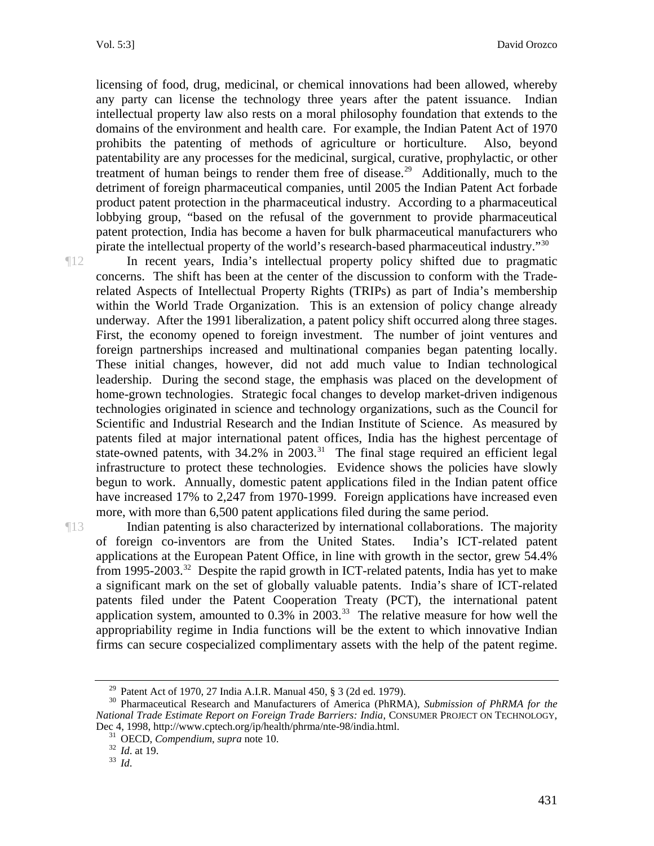licensing of food, drug, medicinal, or chemical innovations had been allowed, whereby any party can license the technology three years after the patent issuance. Indian intellectual property law also rests on a moral philosophy foundation that extends to the domains of the environment and health care. For example, the Indian Patent Act of 1970 prohibits the patenting of methods of agriculture or horticulture. Also, beyond patentability are any processes for the medicinal, surgical, curative, prophylactic, or other treatment of human beings to render them free of disease.<sup>[29](#page-7-0)</sup> Additionally, much to the detriment of foreign pharmaceutical companies, until 2005 the Indian Patent Act forbade product patent protection in the pharmaceutical industry. According to a pharmaceutical lobbying group, "based on the refusal of the government to provide pharmaceutical patent protection, India has become a haven for bulk pharmaceutical manufacturers who pirate the intellectual property of the world's research-based pharmaceutical industry."[30](#page-7-1)

¶12 In recent years, India's intellectual property policy shifted due to pragmatic concerns. The shift has been at the center of the discussion to conform with the Traderelated Aspects of Intellectual Property Rights (TRIPs) as part of India's membership within the World Trade Organization. This is an extension of policy change already underway. After the 1991 liberalization, a patent policy shift occurred along three stages. First, the economy opened to foreign investment. The number of joint ventures and foreign partnerships increased and multinational companies began patenting locally. These initial changes, however, did not add much value to Indian technological leadership. During the second stage, the emphasis was placed on the development of home-grown technologies. Strategic focal changes to develop market-driven indigenous technologies originated in science and technology organizations, such as the Council for Scientific and Industrial Research and the Indian Institute of Science. As measured by patents filed at major international patent offices, India has the highest percentage of state-owned patents, with  $34.2\%$  in  $2003$ <sup>[31](#page-7-2)</sup>. The final stage required an efficient legal infrastructure to protect these technologies. Evidence shows the policies have slowly begun to work. Annually, domestic patent applications filed in the Indian patent office have increased 17% to 2,247 from 1970-1999. Foreign applications have increased even more, with more than 6,500 patent applications filed during the same period.

¶13 Indian patenting is also characterized by international collaborations. The majority of foreign co-inventors are from the United States. India's ICT-related patent applications at the European Patent Office, in line with growth in the sector, grew 54.4% from 1995-2003.<sup>[32](#page-7-3)</sup> Despite the rapid growth in ICT-related patents, India has yet to make a significant mark on the set of globally valuable patents. India's share of ICT-related patents filed under the Patent Cooperation Treaty (PCT), the international patent application system, amounted to  $0.3\%$  in 2003.<sup>[33](#page-7-4)</sup> The relative measure for how well the appropriability regime in India functions will be the extent to which innovative Indian firms can secure cospecialized complimentary assets with the help of the patent regime.

<sup>&</sup>lt;sup>29</sup> Patent Act of 1970, 27 India A.I.R. Manual 450,  $\S 3$  (2d ed. 1979).

<span id="page-7-3"></span><span id="page-7-2"></span><span id="page-7-1"></span><span id="page-7-0"></span><sup>30</sup> Pharmaceutical Research and Manufacturers of America (PhRMA), *Submission of PhRMA for the National Trade Estimate Report on Foreign Trade Barriers: India*, CONSUMER PROJECT ON TECHNOLOGY, Dec 4, 1998, http://www.cptech.org/ip/health/phrma/nte-98/india.html. 31 OECD, *Compendium*, *supra* note 10. 32 *Id*. at 19. 33 *Id*.

<span id="page-7-4"></span>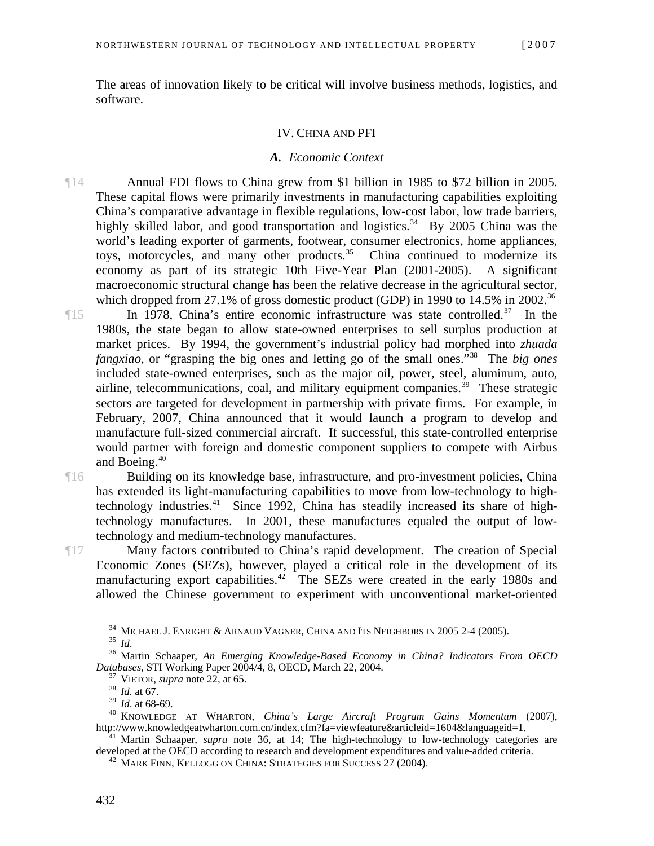The areas of innovation likely to be critical will involve business methods, logistics, and software.

#### IV. CHINA AND PFI

#### *A. Economic Context*

¶14 Annual FDI flows to China grew from \$1 billion in 1985 to \$72 billion in 2005. These capital flows were primarily investments in manufacturing capabilities exploiting China's comparative advantage in flexible regulations, low-cost labor, low trade barriers, highly skilled labor, and good transportation and logistics.<sup>[34](#page-8-0)</sup> By 2005 China was the world's leading exporter of garments, footwear, consumer electronics, home appliances, toys, motorcycles, and many other products.<sup>[35](#page-8-1)</sup> China continued to modernize its economy as part of its strategic 10th Five-Year Plan (2001-2005). A significant macroeconomic structural change has been the relative decrease in the agricultural sector, which dropped from 27.1% of gross domestic product (GDP) in 1990 to  $14.5\%$  in 2002.<sup>[36](#page-8-2)</sup>

¶15 In 1978, China's entire economic infrastructure was state controlled.[37](#page-8-3) In the 1980s, the state began to allow state-owned enterprises to sell surplus production at market prices. By 1994, the government's industrial policy had morphed into *zhuada fangxiao*, or "grasping the big ones and letting go of the small ones."[38](#page-8-4) The *big ones* included state-owned enterprises, such as the major oil, power, steel, aluminum, auto, airline, telecommunications, coal, and military equipment companies.<sup>[39](#page-8-5)</sup> These strategic sectors are targeted for development in partnership with private firms. For example, in February, 2007, China announced that it would launch a program to develop and manufacture full-sized commercial aircraft. If successful, this state-controlled enterprise would partner with foreign and domestic component suppliers to compete with Airbus and Boeing.<sup>40</sup>

¶16 Building on its knowledge base, infrastructure, and pro-investment policies, China has extended its light-manufacturing capabilities to move from low-technology to high-technology industries.<sup>[41](#page-8-7)</sup> Since 1992, China has steadily increased its share of hightechnology manufactures. In 2001, these manufactures equaled the output of lowtechnology and medium-technology manufactures.

¶17 Many factors contributed to China's rapid development. The creation of Special Economic Zones (SEZs), however, played a critical role in the development of its manufacturing export capabilities.<sup>[42](#page-8-8)</sup> The SEZs were created in the early 1980s and allowed the Chinese government to experiment with unconventional market-oriented

<span id="page-8-2"></span><span id="page-8-1"></span><span id="page-8-0"></span><sup>&</sup>lt;sup>34</sup> MICHAEL J. ENRIGHT & ARNAUD VAGNER, CHINA AND ITS NEIGHBORS IN 2005 2-4 (2005).<br><sup>35</sup> *Id*. <sup>36</sup> Martin Schaaper, *An Emerging Knowledge-Based Economy in China? Indicators From OECD Databases*, STI Working Paper 2004/4, 8, OECD, March 22, 2004.<br><sup>37</sup> VIETOR, *supra* note 22, at 65.<br><sup>38</sup> *Id.* at 67.<br><sup>39</sup> *Id.* at 68-69.

<span id="page-8-6"></span><span id="page-8-5"></span><span id="page-8-4"></span><span id="page-8-3"></span><sup>&</sup>lt;sup>40</sup> KNOWLEDGE AT WHARTON, *China's Large Aircraft Program Gains Momentum* (2007), http://www.knowledgeatwharton.com.cn/index.cfm?fa=viewfeature&articleid=1604&languageid=1.

<span id="page-8-8"></span><span id="page-8-7"></span><sup>&</sup>lt;sup>41</sup> Martin Schaaper, *supra* note 36, at 14; The high-technology to low-technology categories are developed at the OECD according to research and development expenditures and value-added criteria.<br><sup>42</sup> MARK FINN, KELLOGG ON CHINA: STRATEGIES FOR SUCCESS 27 (2004).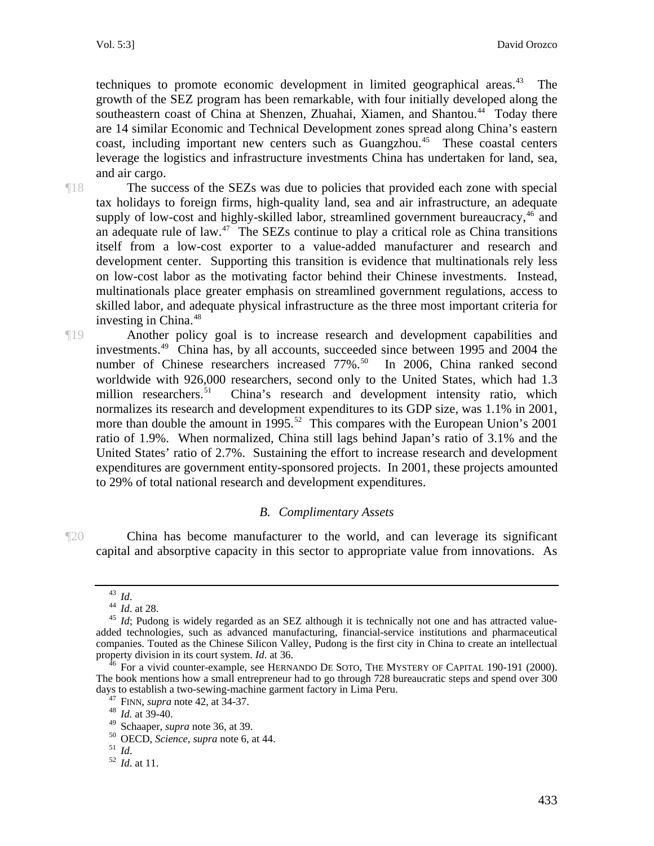techniques to promote economic development in limited geographical areas.<sup>[43](#page-9-0)</sup> The growth of the SEZ program has been remarkable, with four initially developed along the southeastern coast of China at Shenzen, Zhuahai, Xiamen, and Shantou.<sup>[44](#page-9-1)</sup> Today there are 14 similar Economic and Technical Development zones spread along China's eastern coast, including important new centers such as Guangzhou.<sup>[45](#page-9-2)</sup> These coastal centers leverage the logistics and infrastructure investments China has undertaken for land, sea, and air cargo.

¶18 The success of the SEZs was due to policies that provided each zone with special tax holidays to foreign firms, high-quality land, sea and air infrastructure, an adequate supply of low-cost and highly-skilled labor, streamlined government bureaucracy,<sup>[46](#page-9-3)</sup> and an adequate rule of law.<sup>[47](#page-9-4)</sup> The SEZs continue to play a critical role as China transitions itself from a low-cost exporter to a value-added manufacturer and research and development center. Supporting this transition is evidence that multinationals rely less on low-cost labor as the motivating factor behind their Chinese investments. Instead, multinationals place greater emphasis on streamlined government regulations, access to skilled labor, and adequate physical infrastructure as the three most important criteria for investing in China. $48$ 

¶19 Another policy goal is to increase research and development capabilities and investments.<sup>[49](#page-9-6)</sup> China has, by all accounts, succeeded since between 1995 and 2004 the number of Chinese researchers increased 77%.<sup>[50](#page-9-7)</sup> In 2006, China ranked second worldwide with 926,000 researchers, second only to the United States, which had 1.3 million researchers.<sup>[51](#page-9-8)</sup> China's research and development intensity ratio, which normalizes its research and development expenditures to its GDP size, was 1.1% in 2001, more than double the amount in  $1995$ <sup>[52](#page-9-9)</sup> This compares with the European Union's 2001 ratio of 1.9%. When normalized, China still lags behind Japan's ratio of 3.1% and the United States' ratio of 2.7%. Sustaining the effort to increase research and development expenditures are government entity-sponsored projects. In 2001, these projects amounted to 29% of total national research and development expenditures.

#### *B. Complimentary Assets*

<span id="page-9-0"></span>¶20 China has become manufacturer to the world, and can leverage its significant capital and absorptive capacity in this sector to appropriate value from innovations. As

<span id="page-9-2"></span><span id="page-9-1"></span><sup>&</sup>lt;sup>43</sup> *Id.* 44 *Id.* at 28. 45 *Id.* at 28. 45 *Id*; Pudong is widely regarded as an SEZ although it is technically not one and has attracted valueadded technologies, such as advanced manufacturing, financial-service institutions and pharmaceutical companies. Touted as the Chinese Silicon Valley, Pudong is the first city in China to create an intellectual property division in its court system. *Id.* at 36.

<span id="page-9-4"></span><span id="page-9-3"></span><sup>&</sup>lt;sup>5</sup> For a vivid counter-example, see HERNANDO DE SOTO, THE MYSTERY OF CAPITAL 190-191 (2000). The book mentions how a small entrepreneur had to go through 728 bureaucratic steps and spend over 300 days to establish a two-sewing-machine garment factory in Lima Peru.<br><sup>47</sup> FINN, *supra* note 42, at 34-37.<br><sup>48</sup> *Id.* at 39-40.<br>Schaaper, *supra* note 36, at 39.

<span id="page-9-6"></span><span id="page-9-5"></span>

<span id="page-9-7"></span><sup>49</sup> Schaaper, *supra* note 36, at 39. 50 OECD, *Science*, *supra* note 6, at 44. 51 *Id*. 52 *Id*. at 11.

<span id="page-9-9"></span><span id="page-9-8"></span>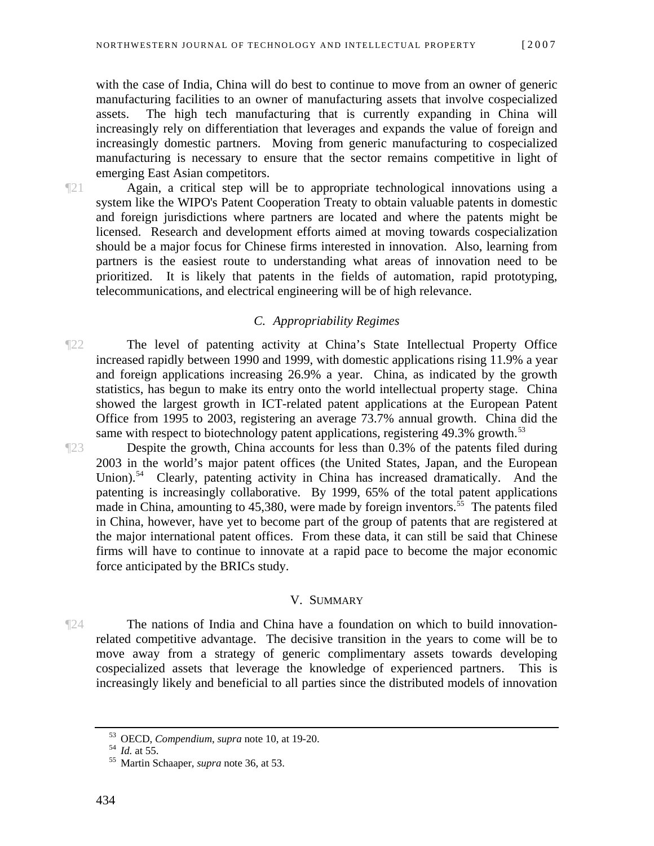with the case of India, China will do best to continue to move from an owner of generic manufacturing facilities to an owner of manufacturing assets that involve cospecialized assets. The high tech manufacturing that is currently expanding in China will increasingly rely on differentiation that leverages and expands the value of foreign and increasingly domestic partners. Moving from generic manufacturing to cospecialized manufacturing is necessary to ensure that the sector remains competitive in light of emerging East Asian competitors.

¶21 Again, a critical step will be to appropriate technological innovations using a system like the WIPO's Patent Cooperation Treaty to obtain valuable patents in domestic and foreign jurisdictions where partners are located and where the patents might be licensed. Research and development efforts aimed at moving towards cospecialization should be a major focus for Chinese firms interested in innovation. Also, learning from partners is the easiest route to understanding what areas of innovation need to be prioritized. It is likely that patents in the fields of automation, rapid prototyping, telecommunications, and electrical engineering will be of high relevance.

#### *C. Appropriability Regimes*

¶22 The level of patenting activity at China's State Intellectual Property Office increased rapidly between 1990 and 1999, with domestic applications rising 11.9% a year and foreign applications increasing 26.9% a year. China, as indicated by the growth statistics, has begun to make its entry onto the world intellectual property stage. China showed the largest growth in ICT-related patent applications at the European Patent Office from 1995 to 2003, registering an average 73.7% annual growth. China did the same with respect to biotechnology patent applications, registering 49.3% growth.<sup>[53](#page-10-0)</sup>

¶23 Despite the growth, China accounts for less than 0.3% of the patents filed during 2003 in the world's major patent offices (the United States, Japan, and the European Union).<sup>[54](#page-10-1)</sup> Clearly, patenting activity in China has increased dramatically. And the patenting is increasingly collaborative. By 1999, 65% of the total patent applications made in China, amounting to 45,380, were made by foreign inventors.<sup> $55$ </sup> The patents filed in China, however, have yet to become part of the group of patents that are registered at the major international patent offices. From these data, it can still be said that Chinese firms will have to continue to innovate at a rapid pace to become the major economic force anticipated by the BRICs study.

#### V. SUMMARY

¶24 The nations of India and China have a foundation on which to build innovationrelated competitive advantage. The decisive transition in the years to come will be to move away from a strategy of generic complimentary assets towards developing cospecialized assets that leverage the knowledge of experienced partners. This is increasingly likely and beneficial to all parties since the distributed models of innovation

<span id="page-10-1"></span><span id="page-10-0"></span><sup>53</sup> OECD, *Compendium*, *supra* note 10, at 19-20. 54 *Id.* at 55. 55 Martin Schaaper, *supra* note 36, at 53.

<span id="page-10-2"></span>